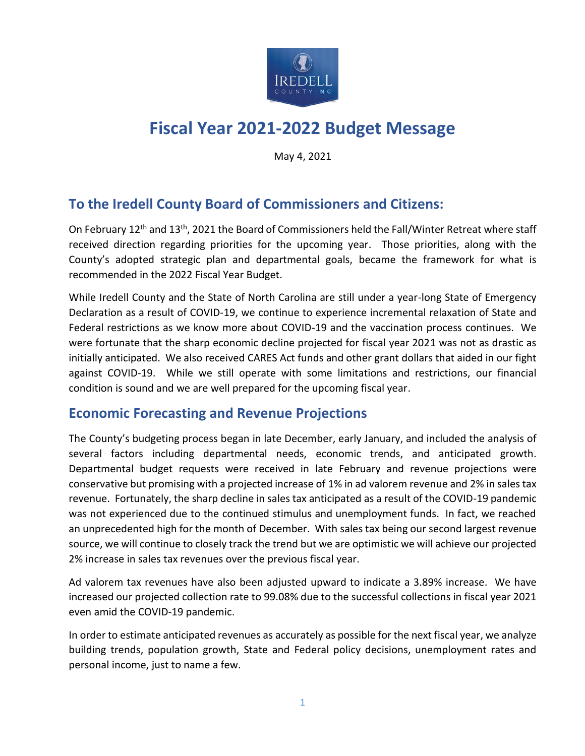

# **Fiscal Year 2021-2022 Budget Message**

May 4, 2021

# **To the Iredell County Board of Commissioners and Citizens:**

On February 12<sup>th</sup> and 13<sup>th</sup>, 2021 the Board of Commissioners held the Fall/Winter Retreat where staff received direction regarding priorities for the upcoming year. Those priorities, along with the County's adopted strategic plan and departmental goals, became the framework for what is recommended in the 2022 Fiscal Year Budget.

While Iredell County and the State of North Carolina are still under a year-long State of Emergency Declaration as a result of COVID-19, we continue to experience incremental relaxation of State and Federal restrictions as we know more about COVID-19 and the vaccination process continues. We were fortunate that the sharp economic decline projected for fiscal year 2021 was not as drastic as initially anticipated. We also received CARES Act funds and other grant dollars that aided in our fight against COVID-19. While we still operate with some limitations and restrictions, our financial condition is sound and we are well prepared for the upcoming fiscal year.

### **Economic Forecasting and Revenue Projections**

The County's budgeting process began in late December, early January, and included the analysis of several factors including departmental needs, economic trends, and anticipated growth. Departmental budget requests were received in late February and revenue projections were conservative but promising with a projected increase of 1% in ad valorem revenue and 2% in sales tax revenue. Fortunately, the sharp decline in sales tax anticipated as a result of the COVID-19 pandemic was not experienced due to the continued stimulus and unemployment funds. In fact, we reached an unprecedented high for the month of December. With sales tax being our second largest revenue source, we will continue to closely track the trend but we are optimistic we will achieve our projected 2% increase in sales tax revenues over the previous fiscal year.

Ad valorem tax revenues have also been adjusted upward to indicate a 3.89% increase. We have increased our projected collection rate to 99.08% due to the successful collections in fiscal year 2021 even amid the COVID-19 pandemic.

In order to estimate anticipated revenues as accurately as possible for the next fiscal year, we analyze building trends, population growth, State and Federal policy decisions, unemployment rates and personal income, just to name a few.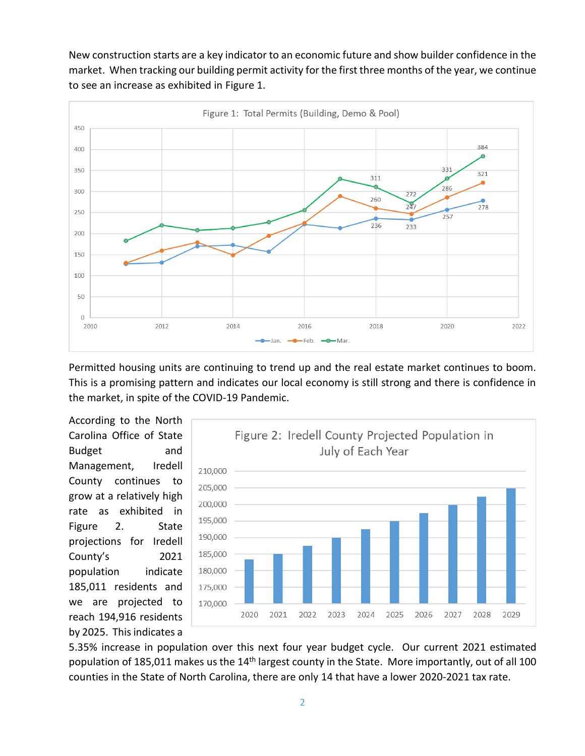New construction starts are a key indicator to an economic future and show builder confidence in the market. When tracking our building permit activity for the first three months of the year, we continue to see an increase as exhibited in Figure 1.



Permitted housing units are continuing to trend up and the real estate market continues to boom. This is a promising pattern and indicates our local economy is still strong and there is confidence in the market, in spite of the COVID-19 Pandemic.

According to the North Carolina Office of State Budget and Management, Iredell County continues to grow at a relatively high rate as exhibited in Figure 2. State projections for Iredell County's 2021 population indicate 185,011 residents and we are projected to reach 194,916 residents by 2025. This indicates a



5.35% increase in population over this next four year budget cycle. Our current 2021 estimated population of 185,011 makes us the 14<sup>th</sup> largest county in the State. More importantly, out of all 100 counties in the State of North Carolina, there are only 14 that have a lower 2020-2021 tax rate.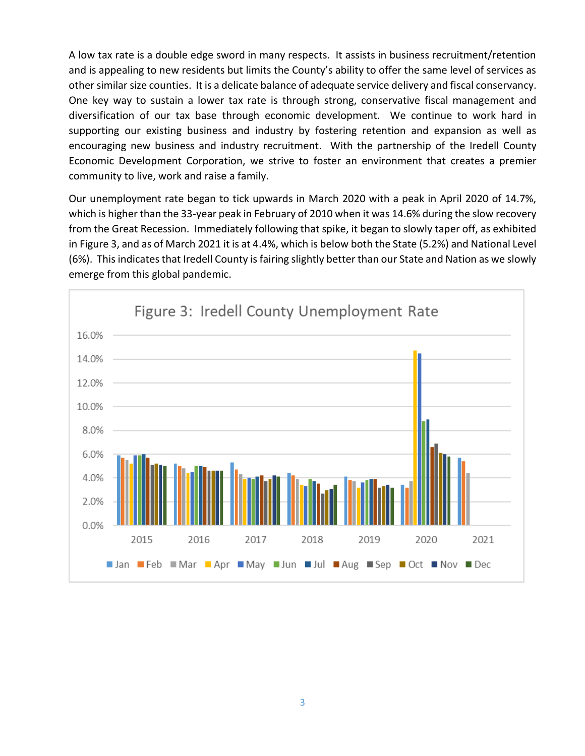A low tax rate is a double edge sword in many respects. It assists in business recruitment/retention and is appealing to new residents but limits the County's ability to offer the same level of services as other similar size counties. It is a delicate balance of adequate service delivery and fiscal conservancy. One key way to sustain a lower tax rate is through strong, conservative fiscal management and diversification of our tax base through economic development. We continue to work hard in supporting our existing business and industry by fostering retention and expansion as well as encouraging new business and industry recruitment. With the partnership of the Iredell County Economic Development Corporation, we strive to foster an environment that creates a premier community to live, work and raise a family.

Our unemployment rate began to tick upwards in March 2020 with a peak in April 2020 of 14.7%, which is higher than the 33-year peak in February of 2010 when it was 14.6% during the slow recovery from the Great Recession. Immediately following that spike, it began to slowly taper off, as exhibited in Figure 3, and as of March 2021 it is at 4.4%, which is below both the State (5.2%) and National Level (6%). This indicates that Iredell County is fairing slightly better than our State and Nation as we slowly emerge from this global pandemic.

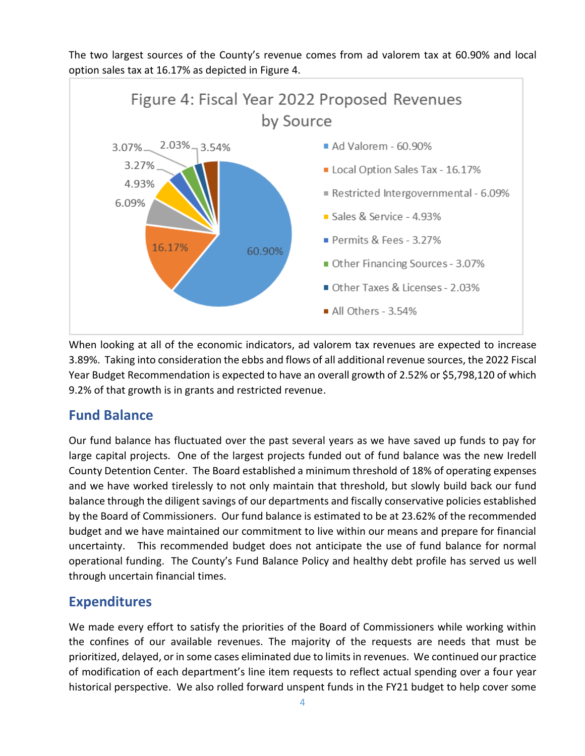The two largest sources of the County's revenue comes from ad valorem tax at 60.90% and local option sales tax at 16.17% as depicted in Figure 4.



When looking at all of the economic indicators, ad valorem tax revenues are expected to increase 3.89%. Taking into consideration the ebbs and flows of all additional revenue sources, the 2022 Fiscal Year Budget Recommendation is expected to have an overall growth of 2.52% or \$5,798,120 of which 9.2% of that growth is in grants and restricted revenue.

### **Fund Balance**

Our fund balance has fluctuated over the past several years as we have saved up funds to pay for large capital projects. One of the largest projects funded out of fund balance was the new Iredell County Detention Center. The Board established a minimum threshold of 18% of operating expenses and we have worked tirelessly to not only maintain that threshold, but slowly build back our fund balance through the diligent savings of our departments and fiscally conservative policies established by the Board of Commissioners. Our fund balance is estimated to be at 23.62% of the recommended budget and we have maintained our commitment to live within our means and prepare for financial uncertainty. This recommended budget does not anticipate the use of fund balance for normal operational funding. The County's Fund Balance Policy and healthy debt profile has served us well through uncertain financial times.

# **Expenditures**

We made every effort to satisfy the priorities of the Board of Commissioners while working within the confines of our available revenues. The majority of the requests are needs that must be prioritized, delayed, or in some cases eliminated due to limits in revenues. We continued our practice of modification of each department's line item requests to reflect actual spending over a four year historical perspective. We also rolled forward unspent funds in the FY21 budget to help cover some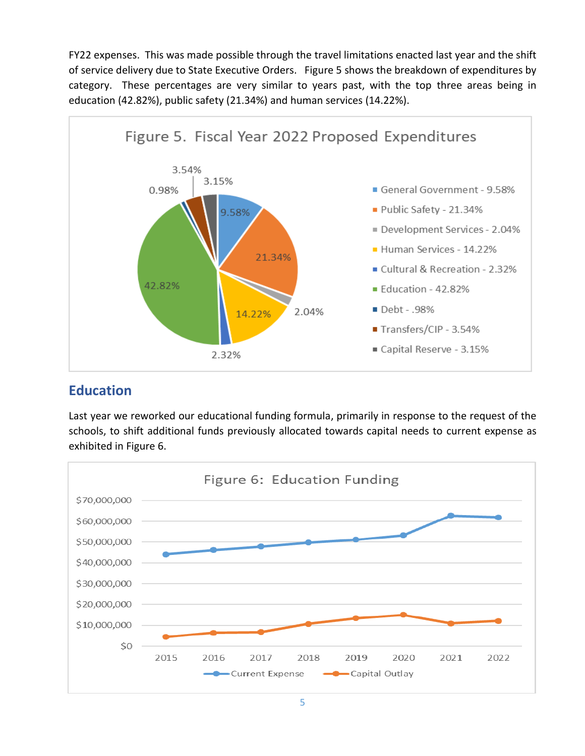FY22 expenses. This was made possible through the travel limitations enacted last year and the shift of service delivery due to State Executive Orders. Figure 5 shows the breakdown of expenditures by category. These percentages are very similar to years past, with the top three areas being in education (42.82%), public safety (21.34%) and human services (14.22%).



# **Education**

Last year we reworked our educational funding formula, primarily in response to the request of the schools, to shift additional funds previously allocated towards capital needs to current expense as exhibited in Figure 6.

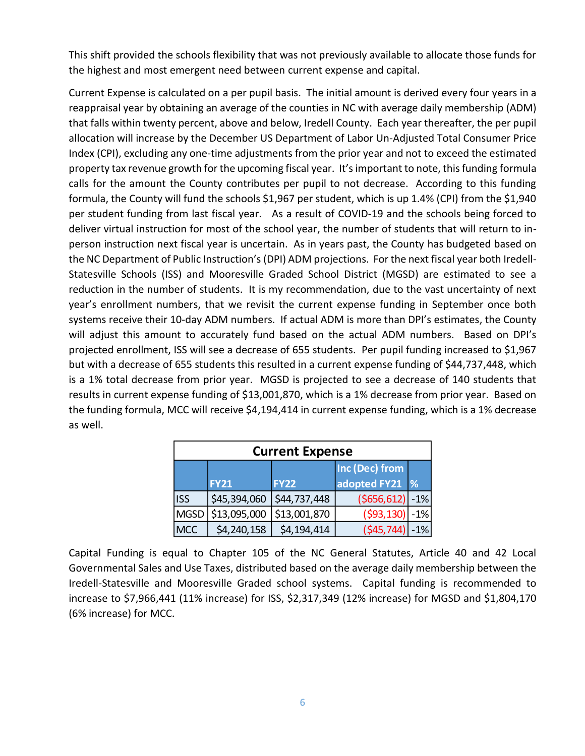This shift provided the schools flexibility that was not previously available to allocate those funds for the highest and most emergent need between current expense and capital.

Current Expense is calculated on a per pupil basis. The initial amount is derived every four years in a reappraisal year by obtaining an average of the counties in NC with average daily membership (ADM) that falls within twenty percent, above and below, Iredell County. Each year thereafter, the per pupil allocation will increase by the December US Department of Labor Un-Adjusted Total Consumer Price Index (CPI), excluding any one-time adjustments from the prior year and not to exceed the estimated property tax revenue growth for the upcoming fiscal year. It's important to note, this funding formula calls for the amount the County contributes per pupil to not decrease. According to this funding formula, the County will fund the schools \$1,967 per student, which is up 1.4% (CPI) from the \$1,940 per student funding from last fiscal year. As a result of COVID-19 and the schools being forced to deliver virtual instruction for most of the school year, the number of students that will return to inperson instruction next fiscal year is uncertain. As in years past, the County has budgeted based on the NC Department of Public Instruction's (DPI) ADM projections. For the next fiscal year both Iredell-Statesville Schools (ISS) and Mooresville Graded School District (MGSD) are estimated to see a reduction in the number of students. It is my recommendation, due to the vast uncertainty of next year's enrollment numbers, that we revisit the current expense funding in September once both systems receive their 10-day ADM numbers. If actual ADM is more than DPI's estimates, the County will adjust this amount to accurately fund based on the actual ADM numbers. Based on DPI's projected enrollment, ISS will see a decrease of 655 students. Per pupil funding increased to \$1,967 but with a decrease of 655 students this resulted in a current expense funding of \$44,737,448, which is a 1% total decrease from prior year. MGSD is projected to see a decrease of 140 students that results in current expense funding of \$13,001,870, which is a 1% decrease from prior year. Based on the funding formula, MCC will receive \$4,194,414 in current expense funding, which is a 1% decrease as well.

| <b>Current Expense</b> |              |              |                                |               |  |  |
|------------------------|--------------|--------------|--------------------------------|---------------|--|--|
|                        | <b>FY21</b>  | <b>FY22</b>  | Inc (Dec) from<br>adopted FY21 | $\frac{9}{6}$ |  |  |
| <b>ISS</b>             | \$45,394,060 | \$44,737,448 | $( $656, 612] - 1\%$           |               |  |  |
| <b>MGSD</b>            | \$13,095,000 | \$13,001,870 | ( \$93, 130)                   | $-1%$         |  |  |
| <b>MCC</b>             | \$4,240,158  | \$4,194,414  | $(545, 744) - 1\%$             |               |  |  |

Capital Funding is equal to Chapter 105 of the NC General Statutes, Article 40 and 42 Local Governmental Sales and Use Taxes, distributed based on the average daily membership between the Iredell-Statesville and Mooresville Graded school systems. Capital funding is recommended to increase to \$7,966,441 (11% increase) for ISS, \$2,317,349 (12% increase) for MGSD and \$1,804,170 (6% increase) for MCC.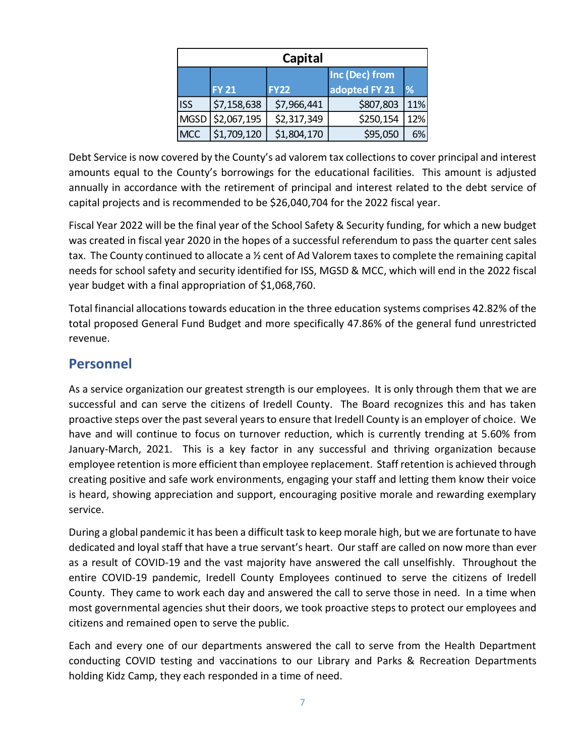| Capital    |                  |             |                                 |     |  |  |
|------------|------------------|-------------|---------------------------------|-----|--|--|
|            | <b>FY 21</b>     | <b>FY22</b> | Inc (Dec) from<br>adopted FY 21 | %   |  |  |
| <b>ISS</b> | \$7,158,638      | \$7,966,441 | \$807,803                       | 11% |  |  |
|            | MGSD \$2,067,195 | \$2,317,349 | \$250,154                       | 12% |  |  |
| <b>MCC</b> | \$1,709,120      | \$1,804,170 | \$95,050                        | 6%  |  |  |

Debt Service is now covered by the County's ad valorem tax collections to cover principal and interest amounts equal to the County's borrowings for the educational facilities. This amount is adjusted annually in accordance with the retirement of principal and interest related to the debt service of capital projects and is recommended to be \$26,040,704 for the 2022 fiscal year.

Fiscal Year 2022 will be the final year of the School Safety & Security funding, for which a new budget was created in fiscal year 2020 in the hopes of a successful referendum to pass the quarter cent sales tax. The County continued to allocate a ½ cent of Ad Valorem taxes to complete the remaining capital needs for school safety and security identified for ISS, MGSD & MCC, which will end in the 2022 fiscal year budget with a final appropriation of \$1,068,760.

Total financial allocations towards education in the three education systems comprises 42.82% of the total proposed General Fund Budget and more specifically 47.86% of the general fund unrestricted revenue.

### **Personnel**

As a service organization our greatest strength is our employees. It is only through them that we are successful and can serve the citizens of Iredell County. The Board recognizes this and has taken proactive steps over the past several years to ensure that Iredell County is an employer of choice. We have and will continue to focus on turnover reduction, which is currently trending at 5.60% from January-March, 2021. This is a key factor in any successful and thriving organization because employee retention is more efficient than employee replacement. Staff retention is achieved through creating positive and safe work environments, engaging your staff and letting them know their voice is heard, showing appreciation and support, encouraging positive morale and rewarding exemplary service.

During a global pandemic it has been a difficult task to keep morale high, but we are fortunate to have dedicated and loyal staff that have a true servant's heart. Our staff are called on now more than ever as a result of COVID-19 and the vast majority have answered the call unselfishly. Throughout the entire COVID-19 pandemic, Iredell County Employees continued to serve the citizens of Iredell County. They came to work each day and answered the call to serve those in need. In a time when most governmental agencies shut their doors, we took proactive steps to protect our employees and citizens and remained open to serve the public.

Each and every one of our departments answered the call to serve from the Health Department conducting COVID testing and vaccinations to our Library and Parks & Recreation Departments holding Kidz Camp, they each responded in a time of need.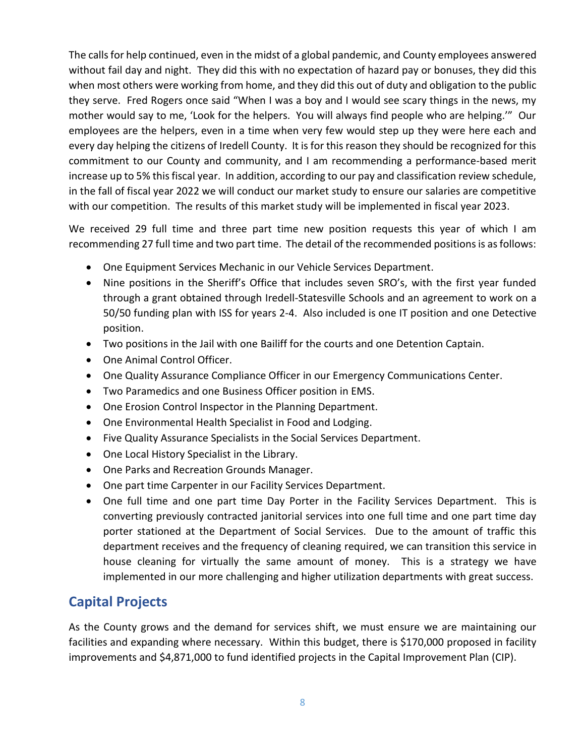The calls for help continued, even in the midst of a global pandemic, and County employees answered without fail day and night. They did this with no expectation of hazard pay or bonuses, they did this when most others were working from home, and they did this out of duty and obligation to the public they serve. Fred Rogers once said "When I was a boy and I would see scary things in the news, my mother would say to me, 'Look for the helpers. You will always find people who are helping.'" Our employees are the helpers, even in a time when very few would step up they were here each and every day helping the citizens of Iredell County. It is for this reason they should be recognized for this commitment to our County and community, and I am recommending a performance-based merit increase up to 5% this fiscal year. In addition, according to our pay and classification review schedule, in the fall of fiscal year 2022 we will conduct our market study to ensure our salaries are competitive with our competition. The results of this market study will be implemented in fiscal year 2023.

We received 29 full time and three part time new position requests this year of which I am recommending 27 full time and two part time. The detail of the recommended positions is as follows:

- One Equipment Services Mechanic in our Vehicle Services Department.
- Nine positions in the Sheriff's Office that includes seven SRO's, with the first year funded through a grant obtained through Iredell-Statesville Schools and an agreement to work on a 50/50 funding plan with ISS for years 2-4. Also included is one IT position and one Detective position.
- Two positions in the Jail with one Bailiff for the courts and one Detention Captain.
- One Animal Control Officer.
- One Quality Assurance Compliance Officer in our Emergency Communications Center.
- Two Paramedics and one Business Officer position in EMS.
- One Erosion Control Inspector in the Planning Department.
- One Environmental Health Specialist in Food and Lodging.
- Five Quality Assurance Specialists in the Social Services Department.
- One Local History Specialist in the Library.
- One Parks and Recreation Grounds Manager.
- One part time Carpenter in our Facility Services Department.
- One full time and one part time Day Porter in the Facility Services Department. This is converting previously contracted janitorial services into one full time and one part time day porter stationed at the Department of Social Services. Due to the amount of traffic this department receives and the frequency of cleaning required, we can transition this service in house cleaning for virtually the same amount of money. This is a strategy we have implemented in our more challenging and higher utilization departments with great success.

# **Capital Projects**

As the County grows and the demand for services shift, we must ensure we are maintaining our facilities and expanding where necessary. Within this budget, there is \$170,000 proposed in facility improvements and \$4,871,000 to fund identified projects in the Capital Improvement Plan (CIP).